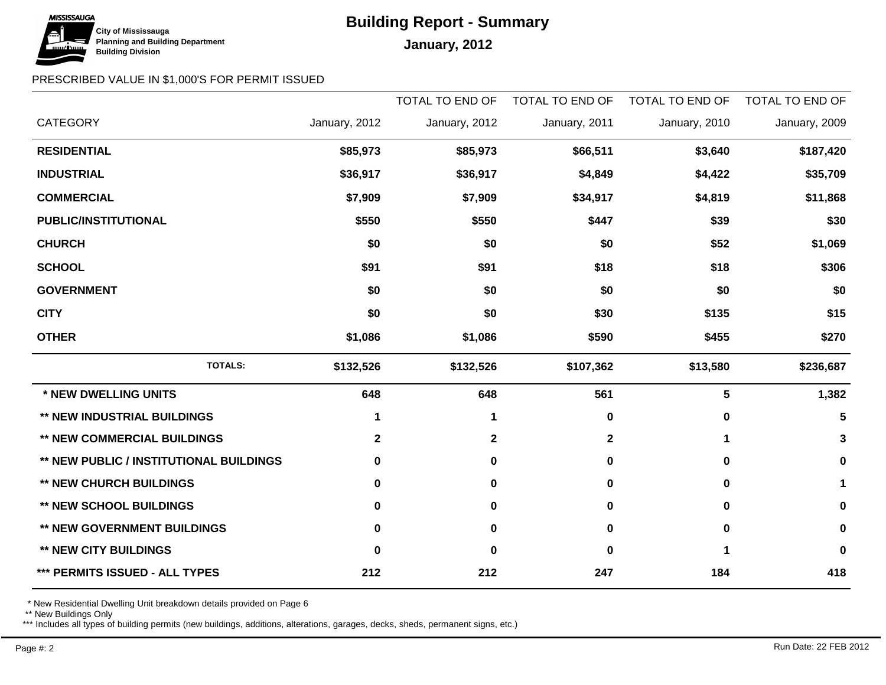

# **Building Report - Summary**

## PRESCRIBED VALUE IN \$1,000'S FOR PERMIT ISSUED

|                                                |               | TOTAL TO END OF | TOTAL TO END OF | TOTAL TO END OF | TOTAL TO END OF |
|------------------------------------------------|---------------|-----------------|-----------------|-----------------|-----------------|
| <b>CATEGORY</b>                                | January, 2012 | January, 2012   | January, 2011   | January, 2010   | January, 2009   |
| <b>RESIDENTIAL</b>                             | \$85,973      | \$85,973        | \$66,511        | \$3,640         | \$187,420       |
| <b>INDUSTRIAL</b>                              | \$36,917      | \$36,917        | \$4,849         | \$4,422         | \$35,709        |
| <b>COMMERCIAL</b>                              | \$7,909       | \$7,909         | \$34,917        | \$4,819         | \$11,868        |
| PUBLIC/INSTITUTIONAL                           | \$550         | \$550           | \$447           | \$39            | \$30            |
| <b>CHURCH</b>                                  | \$0           | \$0             | \$0             | \$52            | \$1,069         |
| <b>SCHOOL</b>                                  | \$91          | \$91            | \$18            | \$18            | \$306           |
| <b>GOVERNMENT</b>                              | \$0           | \$0             | \$0             | \$0             | \$0             |
| <b>CITY</b>                                    | \$0           | \$0             | \$30            | \$135           | \$15            |
| <b>OTHER</b>                                   | \$1,086       | \$1,086         | \$590           | \$455           | \$270           |
| <b>TOTALS:</b>                                 | \$132,526     | \$132,526       | \$107,362       | \$13,580        | \$236,687       |
| * NEW DWELLING UNITS                           | 648           | 648             | 561             | 5               | 1,382           |
| <b>** NEW INDUSTRIAL BUILDINGS</b>             | 1             | 1               | 0               | $\mathbf 0$     | 5               |
| <b>** NEW COMMERCIAL BUILDINGS</b>             | $\mathbf{2}$  | $\mathbf{2}$    | $\mathbf{2}$    | 1               | 3               |
| <b>** NEW PUBLIC / INSTITUTIONAL BUILDINGS</b> | 0             | $\mathbf 0$     | 0               | $\bf{0}$        | 0               |
| <b>** NEW CHURCH BUILDINGS</b>                 | $\bf{0}$      | $\mathbf 0$     | 0               | $\bf{0}$        | 1               |
| <b>** NEW SCHOOL BUILDINGS</b>                 | 0             | $\bf{0}$        | 0               | $\bf{0}$        | 0               |
| ** NEW GOVERNMENT BUILDINGS                    | 0             | $\mathbf 0$     | 0               | $\bf{0}$        | 0               |
| <b>** NEW CITY BUILDINGS</b>                   | 0             | $\mathbf 0$     | O               |                 | $\bf{0}$        |
| *** PERMITS ISSUED - ALL TYPES                 | 212           | 212             | 247             | 184             | 418             |

\* New Residential Dwelling Unit breakdown details provided on Page 6

\*\* New Buildings Only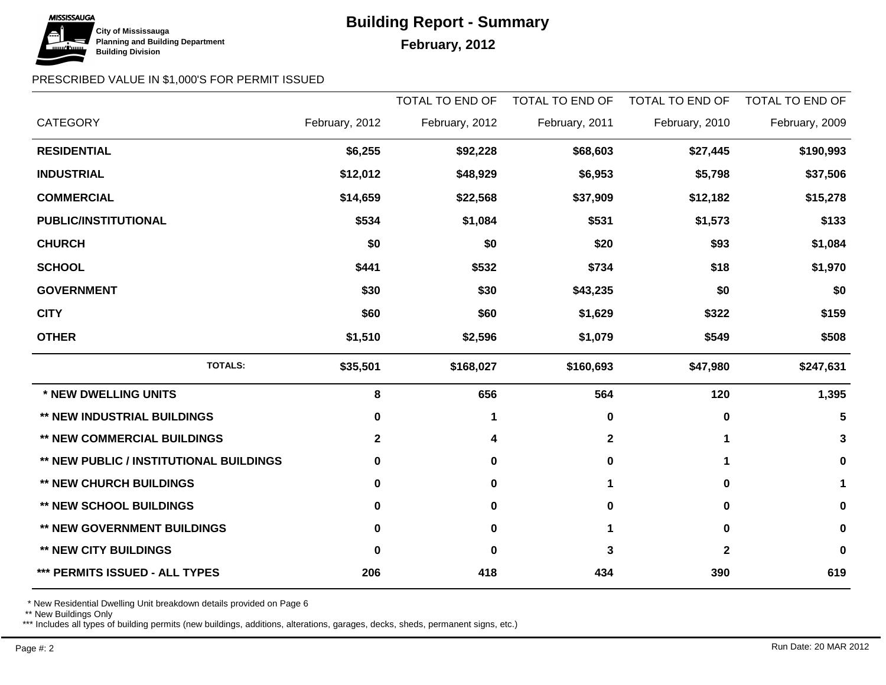

# **Building Report - Summary**

## February, 2012

### PRESCRIBED VALUE IN \$1,000'S FOR PERMIT ISSUED

|                                         |                | TOTAL TO END OF | TOTAL TO END OF | TOTAL TO END OF | TOTAL TO END OF |
|-----------------------------------------|----------------|-----------------|-----------------|-----------------|-----------------|
| <b>CATEGORY</b>                         | February, 2012 | February, 2012  | February, 2011  | February, 2010  | February, 2009  |
| <b>RESIDENTIAL</b>                      | \$6,255        | \$92,228        | \$68,603        | \$27,445        | \$190,993       |
| <b>INDUSTRIAL</b>                       | \$12,012       | \$48,929        | \$6,953         | \$5,798         | \$37,506        |
| <b>COMMERCIAL</b>                       | \$14,659       | \$22,568        | \$37,909        | \$12,182        | \$15,278        |
| PUBLIC/INSTITUTIONAL                    | \$534          | \$1,084         | \$531           | \$1,573         | \$133           |
| <b>CHURCH</b>                           | \$0            | \$0             | \$20            | \$93            | \$1,084         |
| <b>SCHOOL</b>                           | \$441          | \$532           | \$734           | \$18            | \$1,970         |
| <b>GOVERNMENT</b>                       | \$30           | \$30            | \$43,235        | \$0             | \$0             |
| <b>CITY</b>                             | \$60           | \$60            | \$1,629         | \$322           | \$159           |
| <b>OTHER</b>                            | \$1,510        | \$2,596         | \$1,079         | \$549           | \$508           |
| <b>TOTALS:</b>                          | \$35,501       | \$168,027       | \$160,693       | \$47,980        | \$247,631       |
| * NEW DWELLING UNITS                    | 8              | 656             | 564             | 120             | 1,395           |
| ** NEW INDUSTRIAL BUILDINGS             | 0              | 1               | 0               | $\bf{0}$        | 5               |
| <b>** NEW COMMERCIAL BUILDINGS</b>      | $\mathbf{2}$   | 4               | $\mathbf 2$     | 1               | 3               |
| ** NEW PUBLIC / INSTITUTIONAL BUILDINGS | 0              | 0               | 0               |                 | 0               |
| <b>** NEW CHURCH BUILDINGS</b>          | 0              | $\mathbf 0$     |                 | $\bf{0}$        | 1               |
| <b>** NEW SCHOOL BUILDINGS</b>          | 0              | 0               | 0               | 0               | 0               |
| ** NEW GOVERNMENT BUILDINGS             | 0              | $\mathbf 0$     |                 | $\bf{0}$        | $\mathbf 0$     |
| <b>** NEW CITY BUILDINGS</b>            | 0              | $\bf{0}$        | 3               | $\mathbf 2$     | 0               |
| *** PERMITS ISSUED - ALL TYPES          | 206            | 418             | 434             | 390             | 619             |

\* New Residential Dwelling Unit breakdown details provided on Page 6

\*\* New Buildings Only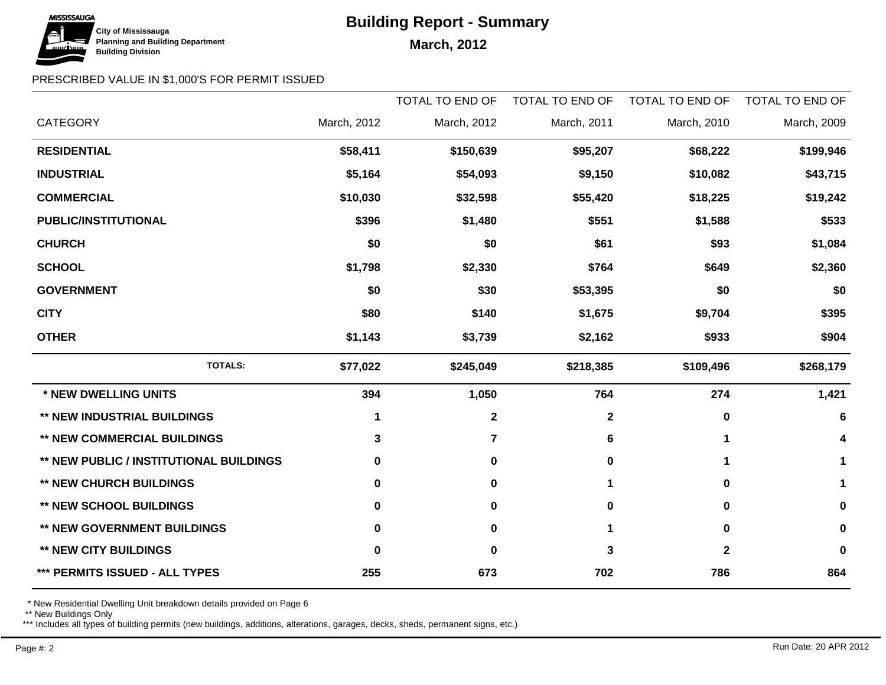

# **Building Report - Summary**

### PRESCRIBED VALUE IN \$1,000'S FOR PERMIT ISSUED

|                                                |             | <b>TOTAL TO END OF</b> | TOTAL TO END OF | <b>TOTAL TO END OF</b> | <b>TOTAL TO END OF</b> |
|------------------------------------------------|-------------|------------------------|-----------------|------------------------|------------------------|
| <b>CATEGORY</b>                                | March, 2012 | March, 2012            | March, 2011     | March, 2010            | March, 2009            |
| <b>RESIDENTIAL</b>                             | \$58,411    | \$150,639              | \$95,207        | \$68,222               | \$199,946              |
| <b>INDUSTRIAL</b>                              | \$5,164     | \$54,093               | \$9,150         | \$10,082               | \$43,715               |
| <b>COMMERCIAL</b>                              | \$10,030    | \$32,598               | \$55,420        | \$18,225               | \$19,242               |
| <b>PUBLIC/INSTITUTIONAL</b>                    | \$396       | \$1,480                | \$551           | \$1,588                | \$533                  |
| <b>CHURCH</b>                                  | \$0         | \$0                    | \$61            | \$93                   | \$1,084                |
| <b>SCHOOL</b>                                  | \$1,798     | \$2,330                | \$764           | \$649                  | \$2,360                |
| <b>GOVERNMENT</b>                              | \$0         | \$30                   | \$53,395        | \$0                    | \$0                    |
| <b>CITY</b>                                    | \$80        | \$140                  | \$1,675         | \$9,704                | \$395                  |
| <b>OTHER</b>                                   | \$1,143     | \$3,739                | \$2,162         | \$933                  | \$904                  |
| <b>TOTALS:</b>                                 | \$77,022    | \$245,049              | \$218,385       | \$109,496              | \$268,179              |
| * NEW DWELLING UNITS                           | 394         | 1,050                  | 764             | 274                    | 1,421                  |
| ** NEW INDUSTRIAL BUILDINGS                    | 1           | $\mathbf{2}$           | $\mathbf 2$     | 0                      | 6                      |
| <b>** NEW COMMERCIAL BUILDINGS</b>             | 3           | $\overline{7}$         | 6               | 1                      | 4                      |
| <b>** NEW PUBLIC / INSTITUTIONAL BUILDINGS</b> | 0           | $\mathbf 0$            | 0               |                        | 1                      |
| <b>** NEW CHURCH BUILDINGS</b>                 | 0           | $\mathbf 0$            |                 | 0                      | 1                      |
| <b>** NEW SCHOOL BUILDINGS</b>                 | 0           | $\mathbf 0$            | 0               | 0                      | 0                      |
| ** NEW GOVERNMENT BUILDINGS                    | 0           | $\pmb{0}$              |                 | $\bf{0}$               | 0                      |
| <b>** NEW CITY BUILDINGS</b>                   | O           | $\bf{0}$               | 3               | $\mathbf 2$            | 0                      |
| *** PERMITS ISSUED - ALL TYPES                 | 255         | 673                    | 702             | 786                    | 864                    |

\* New Residential Dwelling Unit breakdown details provided on Page 6

\*\* New Buildings Only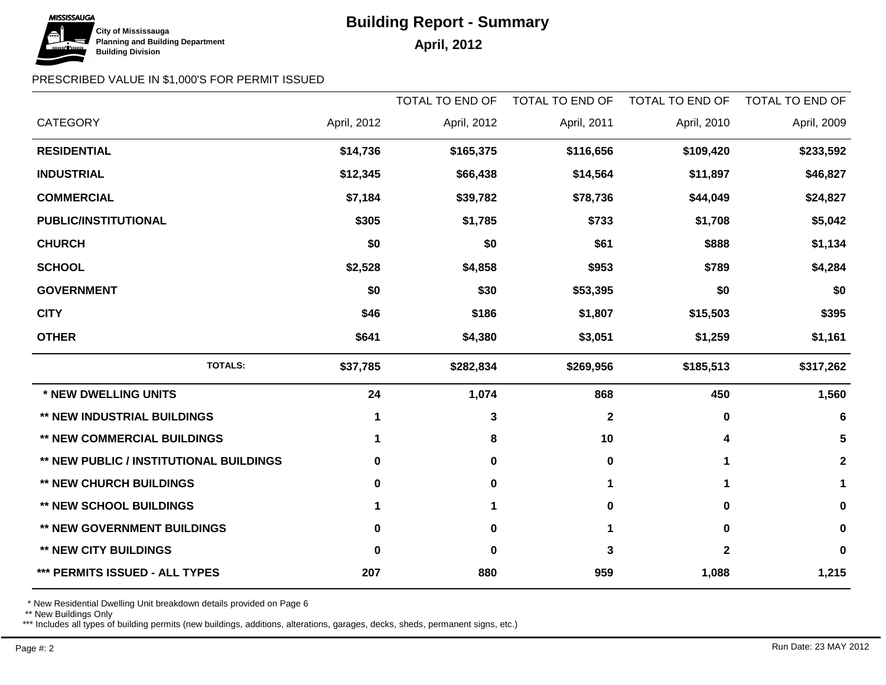

# **Building Report - Summary**

### PRESCRIBED VALUE IN \$1,000'S FOR PERMIT ISSUED

|                                                |             | <b>TOTAL TO END OF</b> | TOTAL TO END OF | TOTAL TO END OF | <b>TOTAL TO END OF</b> |
|------------------------------------------------|-------------|------------------------|-----------------|-----------------|------------------------|
| <b>CATEGORY</b>                                | April, 2012 | April, 2012            | April, 2011     | April, 2010     | April, 2009            |
| <b>RESIDENTIAL</b>                             | \$14,736    | \$165,375              | \$116,656       | \$109,420       | \$233,592              |
| <b>INDUSTRIAL</b>                              | \$12,345    | \$66,438               | \$14,564        | \$11,897        | \$46,827               |
| <b>COMMERCIAL</b>                              | \$7,184     | \$39,782               | \$78,736        | \$44,049        | \$24,827               |
| PUBLIC/INSTITUTIONAL                           | \$305       | \$1,785                | \$733           | \$1,708         | \$5,042                |
| <b>CHURCH</b>                                  | \$0         | \$0                    | \$61            | \$888           | \$1,134                |
| <b>SCHOOL</b>                                  | \$2,528     | \$4,858                | \$953           | \$789           | \$4,284                |
| <b>GOVERNMENT</b>                              | \$0         | \$30                   | \$53,395        | \$0             | \$0                    |
| <b>CITY</b>                                    | \$46        | \$186                  | \$1,807         | \$15,503        | \$395                  |
| <b>OTHER</b>                                   | \$641       | \$4,380                | \$3,051         | \$1,259         | \$1,161                |
| <b>TOTALS:</b>                                 | \$37,785    | \$282,834              | \$269,956       | \$185,513       | \$317,262              |
| * NEW DWELLING UNITS                           | 24          | 1,074                  | 868             | 450             | 1,560                  |
| <b>** NEW INDUSTRIAL BUILDINGS</b>             | 1           | 3                      | $\mathbf{2}$    | $\mathbf 0$     | 6                      |
| <b>** NEW COMMERCIAL BUILDINGS</b>             | 1           | 8                      | 10              | 4               | 5                      |
| <b>** NEW PUBLIC / INSTITUTIONAL BUILDINGS</b> | 0           | 0                      | 0               | 1               | $\mathbf{2}$           |
| <b>** NEW CHURCH BUILDINGS</b>                 | 0           | $\mathbf 0$            | 1               | $\mathbf 1$     | 1                      |
| <b>** NEW SCHOOL BUILDINGS</b>                 | 1           | 1                      | 0               | $\bf{0}$        | 0                      |
| <b>** NEW GOVERNMENT BUILDINGS</b>             | 0           | $\mathbf 0$            | 1               | 0               | 0                      |
| <b>** NEW CITY BUILDINGS</b>                   | 0           | $\mathbf 0$            | 3               | $\mathbf{2}$    | 0                      |
| *** PERMITS ISSUED - ALL TYPES                 | 207         | 880                    | 959             | 1,088           | 1,215                  |

\* New Residential Dwelling Unit breakdown details provided on Page 6

\*\* New Buildings Only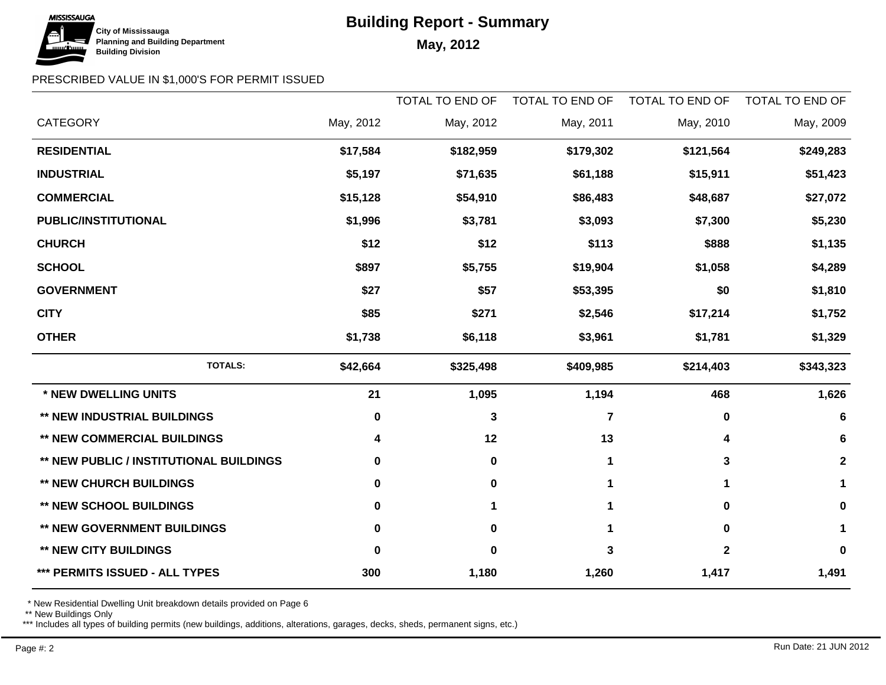# **Building Report - Summary**



## PRESCRIBED VALUE IN \$1,000'S FOR PERMIT ISSUED

|                                                |           | <b>TOTAL TO END OF</b> | TOTAL TO END OF | <b>TOTAL TO END OF</b> | <b>TOTAL TO END OF</b> |
|------------------------------------------------|-----------|------------------------|-----------------|------------------------|------------------------|
| <b>CATEGORY</b>                                | May, 2012 | May, 2012              | May, 2011       | May, 2010              | May, 2009              |
| <b>RESIDENTIAL</b>                             | \$17,584  | \$182,959              | \$179,302       | \$121,564              | \$249,283              |
| <b>INDUSTRIAL</b>                              | \$5,197   | \$71,635               | \$61,188        | \$15,911               | \$51,423               |
| <b>COMMERCIAL</b>                              | \$15,128  | \$54,910               | \$86,483        | \$48,687               | \$27,072               |
| PUBLIC/INSTITUTIONAL                           | \$1,996   | \$3,781                | \$3,093         | \$7,300                | \$5,230                |
| <b>CHURCH</b>                                  | \$12      | \$12                   | \$113           | \$888                  | \$1,135                |
| <b>SCHOOL</b>                                  | \$897     | \$5,755                | \$19,904        | \$1,058                | \$4,289                |
| <b>GOVERNMENT</b>                              | \$27      | \$57                   | \$53,395        | \$0                    | \$1,810                |
| <b>CITY</b>                                    | \$85      | \$271                  | \$2,546         | \$17,214               | \$1,752                |
| <b>OTHER</b>                                   | \$1,738   | \$6,118                | \$3,961         | \$1,781                | \$1,329                |
| <b>TOTALS:</b>                                 | \$42,664  | \$325,498              | \$409,985       | \$214,403              | \$343,323              |
| * NEW DWELLING UNITS                           | 21        | 1,095                  | 1,194           | 468                    | 1,626                  |
| <b>** NEW INDUSTRIAL BUILDINGS</b>             | 0         | $\mathbf{3}$           | 7               | $\bf{0}$               | 6                      |
| <b>** NEW COMMERCIAL BUILDINGS</b>             | 4         | 12                     | 13              | 4                      | 6                      |
| <b>** NEW PUBLIC / INSTITUTIONAL BUILDINGS</b> | 0         | $\pmb{0}$              |                 | 3                      | $\mathbf{2}$           |
| <b>** NEW CHURCH BUILDINGS</b>                 | 0         | $\mathbf 0$            |                 | 1                      | 1                      |
| <b>** NEW SCHOOL BUILDINGS</b>                 | 0         | 1                      |                 | $\bf{0}$               | 0                      |
| <b>** NEW GOVERNMENT BUILDINGS</b>             | O         | $\mathbf 0$            |                 | 0                      | 1                      |
| <b>** NEW CITY BUILDINGS</b>                   | $\bf{0}$  | 0                      | 3               | $\mathbf 2$            | 0                      |
| *** PERMITS ISSUED - ALL TYPES                 | 300       | 1,180                  | 1,260           | 1,417                  | 1,491                  |

\* New Residential Dwelling Unit breakdown details provided on Page 6

\*\* New Buildings Only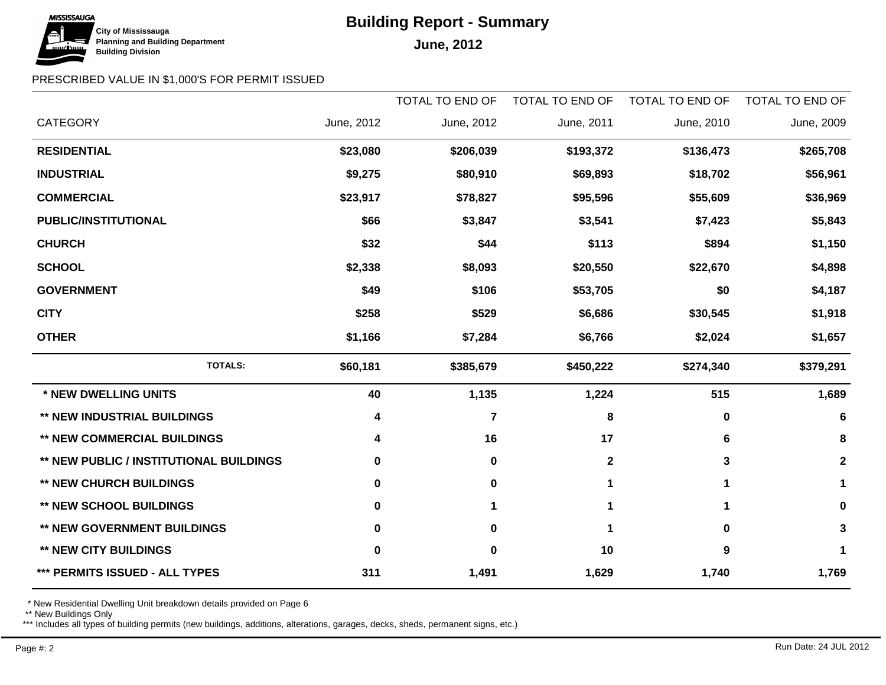# **Building Report - Summary**



### PRESCRIBED VALUE IN \$1,000'S FOR PERMIT ISSUED

|                                                |            | <b>TOTAL TO END OF</b> | TOTAL TO END OF | <b>TOTAL TO END OF</b> | TOTAL TO END OF |
|------------------------------------------------|------------|------------------------|-----------------|------------------------|-----------------|
| <b>CATEGORY</b>                                | June, 2012 | June, 2012             | June, 2011      | June, 2010             | June, 2009      |
| <b>RESIDENTIAL</b>                             | \$23,080   | \$206,039              | \$193,372       | \$136,473              | \$265,708       |
| <b>INDUSTRIAL</b>                              | \$9,275    | \$80,910               | \$69,893        | \$18,702               | \$56,961        |
| <b>COMMERCIAL</b>                              | \$23,917   | \$78,827               | \$95,596        | \$55,609               | \$36,969        |
| PUBLIC/INSTITUTIONAL                           | \$66       | \$3,847                | \$3,541         | \$7,423                | \$5,843         |
| <b>CHURCH</b>                                  | \$32       | \$44                   | \$113           | \$894                  | \$1,150         |
| <b>SCHOOL</b>                                  | \$2,338    | \$8,093                | \$20,550        | \$22,670               | \$4,898         |
| <b>GOVERNMENT</b>                              | \$49       | \$106                  | \$53,705        | \$0                    | \$4,187         |
| <b>CITY</b>                                    | \$258      | \$529                  | \$6,686         | \$30,545               | \$1,918         |
| <b>OTHER</b>                                   | \$1,166    | \$7,284                | \$6,766         | \$2,024                | \$1,657         |
| <b>TOTALS:</b>                                 | \$60,181   | \$385,679              | \$450,222       | \$274,340              | \$379,291       |
| * NEW DWELLING UNITS                           | 40         | 1,135                  | 1,224           | 515                    | 1,689           |
| ** NEW INDUSTRIAL BUILDINGS                    | 4          | $\overline{7}$         | 8               | $\mathbf 0$            | $6\phantom{1}6$ |
| <b>** NEW COMMERCIAL BUILDINGS</b>             | 4          | 16                     | 17              | 6                      | 8               |
| <b>** NEW PUBLIC / INSTITUTIONAL BUILDINGS</b> | 0          | $\pmb{0}$              | $\mathbf 2$     | 3                      | $\mathbf 2$     |
| <b>** NEW CHURCH BUILDINGS</b>                 | 0          | $\mathbf 0$            |                 | 1                      | 1               |
| <b>** NEW SCHOOL BUILDINGS</b>                 | 0          | 1                      |                 |                        | 0               |
| ** NEW GOVERNMENT BUILDINGS                    | 0          | $\mathbf 0$            | 1               | 0                      | 3               |
| <b>** NEW CITY BUILDINGS</b>                   | 0          | 0                      | 10              | 9                      | 1               |
| *** PERMITS ISSUED - ALL TYPES                 | 311        | 1,491                  | 1,629           | 1,740                  | 1,769           |

\* New Residential Dwelling Unit breakdown details provided on Page 6

\*\* New Buildings Only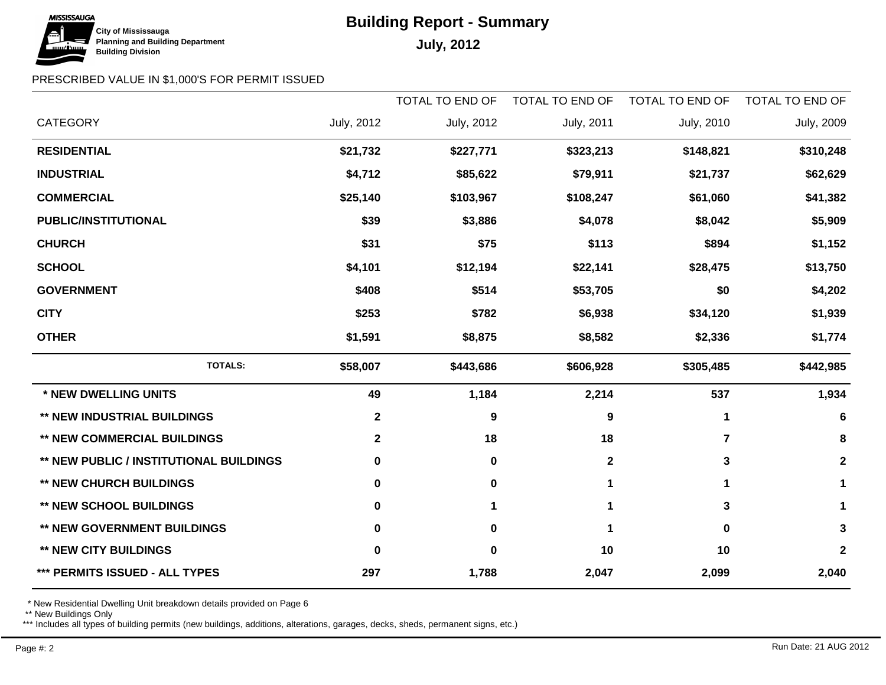# **Building Report - Summary**



## PRESCRIBED VALUE IN \$1,000'S FOR PERMIT ISSUED

|                                                |                   | TOTAL TO END OF   | TOTAL TO END OF | <b>TOTAL TO END OF</b> | TOTAL TO END OF   |
|------------------------------------------------|-------------------|-------------------|-----------------|------------------------|-------------------|
| <b>CATEGORY</b>                                | <b>July, 2012</b> | <b>July, 2012</b> | July, 2011      | July, 2010             | <b>July, 2009</b> |
| <b>RESIDENTIAL</b>                             | \$21,732          | \$227,771         | \$323,213       | \$148,821              | \$310,248         |
| <b>INDUSTRIAL</b>                              | \$4,712           | \$85,622          | \$79,911        | \$21,737               | \$62,629          |
| <b>COMMERCIAL</b>                              | \$25,140          | \$103,967         | \$108,247       | \$61,060               | \$41,382          |
| <b>PUBLIC/INSTITUTIONAL</b>                    | \$39              | \$3,886           | \$4,078         | \$8,042                | \$5,909           |
| <b>CHURCH</b>                                  | \$31              | \$75              | \$113           | \$894                  | \$1,152           |
| <b>SCHOOL</b>                                  | \$4,101           | \$12,194          | \$22,141        | \$28,475               | \$13,750          |
| <b>GOVERNMENT</b>                              | \$408             | \$514             | \$53,705        | \$0                    | \$4,202           |
| <b>CITY</b>                                    | \$253             | \$782             | \$6,938         | \$34,120               | \$1,939           |
| <b>OTHER</b>                                   | \$1,591           | \$8,875           | \$8,582         | \$2,336                | \$1,774           |
| <b>TOTALS:</b>                                 | \$58,007          | \$443,686         | \$606,928       | \$305,485              | \$442,985         |
| * NEW DWELLING UNITS                           | 49                | 1,184             | 2,214           | 537                    | 1,934             |
| <b>** NEW INDUSTRIAL BUILDINGS</b>             | $\mathbf{2}$      | $\boldsymbol{9}$  | 9               | 1                      | 6                 |
| <b>** NEW COMMERCIAL BUILDINGS</b>             | $\mathbf{2}$      | 18                | 18              | $\overline{7}$         | 8                 |
| <b>** NEW PUBLIC / INSTITUTIONAL BUILDINGS</b> | 0                 | $\mathbf 0$       | $\mathbf{2}$    | 3                      | $\mathbf 2$       |
| <b>** NEW CHURCH BUILDINGS</b>                 | 0                 | $\mathbf 0$       |                 | 1                      | 1                 |
| <b>** NEW SCHOOL BUILDINGS</b>                 | 0                 | 1                 |                 | 3                      | 1                 |
| ** NEW GOVERNMENT BUILDINGS                    | 0                 | $\pmb{0}$         | 1               | $\bf{0}$               | 3                 |
| <b>** NEW CITY BUILDINGS</b>                   | $\bf{0}$          | $\mathbf 0$       | 10              | 10                     | $\mathbf 2$       |
| *** PERMITS ISSUED - ALL TYPES                 | 297               | 1,788             | 2,047           | 2,099                  | 2,040             |

\* New Residential Dwelling Unit breakdown details provided on Page 6

\*\* New Buildings Only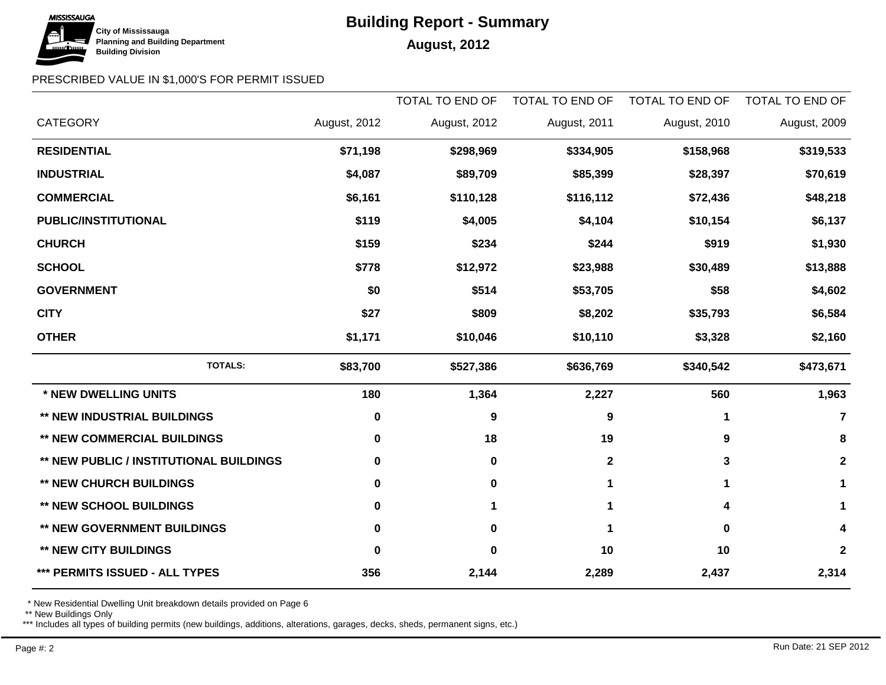## **MISSISSAUGA City of Mississauga Building Division**

# **Building Report - Summary**

### **Planning and Building Department August, 2012**

### PRESCRIBED VALUE IN \$1,000'S FOR PERMIT ISSUED

|                                                |              | <b>TOTAL TO END OF</b> | TOTAL TO END OF | TOTAL TO END OF | TOTAL TO END OF |
|------------------------------------------------|--------------|------------------------|-----------------|-----------------|-----------------|
| <b>CATEGORY</b>                                | August, 2012 | August, 2012           | August, 2011    | August, 2010    | August, 2009    |
| <b>RESIDENTIAL</b>                             | \$71,198     | \$298,969              | \$334,905       | \$158,968       | \$319,533       |
| <b>INDUSTRIAL</b>                              | \$4,087      | \$89,709               | \$85,399        | \$28,397        | \$70,619        |
| <b>COMMERCIAL</b>                              | \$6,161      | \$110,128              | \$116,112       | \$72,436        | \$48,218        |
| <b>PUBLIC/INSTITUTIONAL</b>                    | \$119        | \$4,005                | \$4,104         | \$10,154        | \$6,137         |
| <b>CHURCH</b>                                  | \$159        | \$234                  | \$244           | \$919           | \$1,930         |
| <b>SCHOOL</b>                                  | \$778        | \$12,972               | \$23,988        | \$30,489        | \$13,888        |
| <b>GOVERNMENT</b>                              | \$0          | \$514                  | \$53,705        | \$58            | \$4,602         |
| <b>CITY</b>                                    | \$27         | \$809                  | \$8,202         | \$35,793        | \$6,584         |
| <b>OTHER</b>                                   | \$1,171      | \$10,046               | \$10,110        | \$3,328         | \$2,160         |
| <b>TOTALS:</b>                                 | \$83,700     | \$527,386              | \$636,769       | \$340,542       | \$473,671       |
| * NEW DWELLING UNITS                           | 180          | 1,364                  | 2,227           | 560             | 1,963           |
| <b>** NEW INDUSTRIAL BUILDINGS</b>             | 0            | $\boldsymbol{9}$       | 9               | 1               | $\overline{7}$  |
| <b>** NEW COMMERCIAL BUILDINGS</b>             | 0            | 18                     | 19              | 9               | 8               |
| <b>** NEW PUBLIC / INSTITUTIONAL BUILDINGS</b> | 0            | $\mathbf 0$            | $\mathbf{2}$    | 3               | $\mathbf{2}$    |
| <b>** NEW CHURCH BUILDINGS</b>                 | 0            | $\mathbf 0$            |                 | 1               |                 |
| <b>** NEW SCHOOL BUILDINGS</b>                 | 0            | 1                      | 1               | 4               | 1               |
| ** NEW GOVERNMENT BUILDINGS                    | 0            | $\pmb{0}$              | 1               | 0               |                 |
| <b>** NEW CITY BUILDINGS</b>                   | 0            | $\bf{0}$               | 10              | 10              | $\mathbf{2}$    |
| *** PERMITS ISSUED - ALL TYPES                 | 356          | 2,144                  | 2,289           | 2,437           | 2,314           |

\* New Residential Dwelling Unit breakdown details provided on Page 6

\*\* New Buildings Only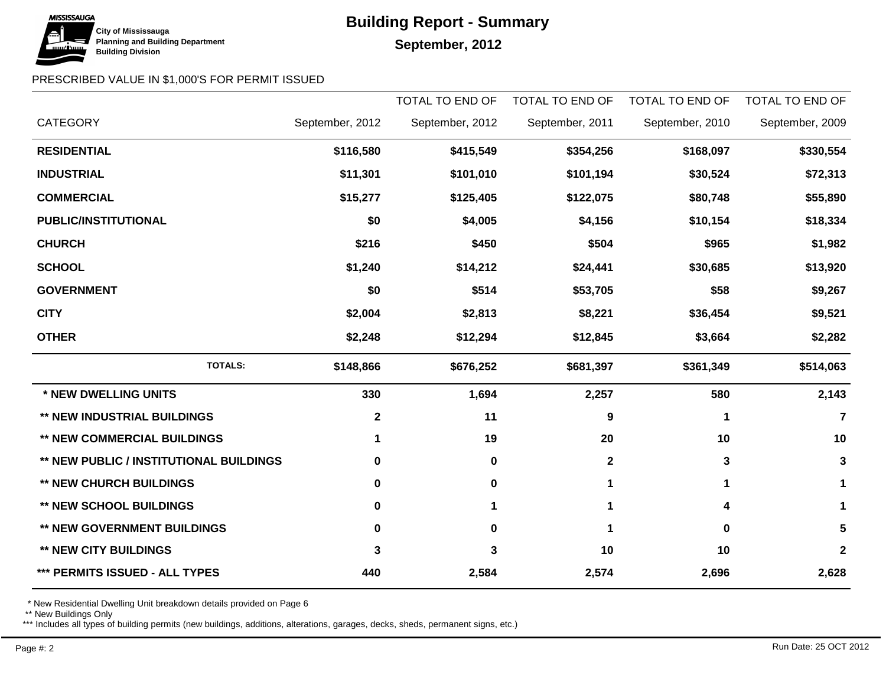# **MISSISSAUGA City of Mississauga Building Division**

# **Building Report - Summary**

## September, 2012

### PRESCRIBED VALUE IN \$1,000'S FOR PERMIT ISSUED

|                                                |                 | <b>TOTAL TO END OF</b> | TOTAL TO END OF | TOTAL TO END OF | TOTAL TO END OF |
|------------------------------------------------|-----------------|------------------------|-----------------|-----------------|-----------------|
| <b>CATEGORY</b>                                | September, 2012 | September, 2012        | September, 2011 | September, 2010 | September, 2009 |
| <b>RESIDENTIAL</b>                             | \$116,580       | \$415,549              | \$354,256       | \$168,097       | \$330,554       |
| <b>INDUSTRIAL</b>                              | \$11,301        | \$101,010              | \$101,194       | \$30,524        | \$72,313        |
| <b>COMMERCIAL</b>                              | \$15,277        | \$125,405              | \$122,075       | \$80,748        | \$55,890        |
| <b>PUBLIC/INSTITUTIONAL</b>                    | \$0             | \$4,005                | \$4,156         | \$10,154        | \$18,334        |
| <b>CHURCH</b>                                  | \$216           | \$450                  | \$504           | \$965           | \$1,982         |
| <b>SCHOOL</b>                                  | \$1,240         | \$14,212               | \$24,441        | \$30,685        | \$13,920        |
| <b>GOVERNMENT</b>                              | \$0             | \$514                  | \$53,705        | \$58            | \$9,267         |
| <b>CITY</b>                                    | \$2,004         | \$2,813                | \$8,221         | \$36,454        | \$9,521         |
| <b>OTHER</b>                                   | \$2,248         | \$12,294               | \$12,845        | \$3,664         | \$2,282         |
| <b>TOTALS:</b>                                 | \$148,866       | \$676,252              | \$681,397       | \$361,349       | \$514,063       |
| * NEW DWELLING UNITS                           | 330             | 1,694                  | 2,257           | 580             | 2,143           |
| <b>** NEW INDUSTRIAL BUILDINGS</b>             | $\mathbf 2$     | 11                     | 9               | 1               | 7               |
| <b>** NEW COMMERCIAL BUILDINGS</b>             | 1               | 19                     | 20              | 10              | 10              |
| <b>** NEW PUBLIC / INSTITUTIONAL BUILDINGS</b> | 0               | $\mathbf 0$            | $\mathbf{2}$    | 3               | 3               |
| <b>** NEW CHURCH BUILDINGS</b>                 | 0               | 0                      | 1               | 1               |                 |
| <b>** NEW SCHOOL BUILDINGS</b>                 | 0               | 1                      | 1               | 4               | 1               |
| ** NEW GOVERNMENT BUILDINGS                    | 0               | $\mathbf 0$            | 1               | 0               | 5               |
| ** NEW CITY BUILDINGS                          | 3               | 3                      | 10              | 10              | $\mathbf{2}$    |
| *** PERMITS ISSUED - ALL TYPES                 | 440             | 2,584                  | 2,574           | 2,696           | 2,628           |

\* New Residential Dwelling Unit breakdown details provided on Page 6

\*\* New Buildings Only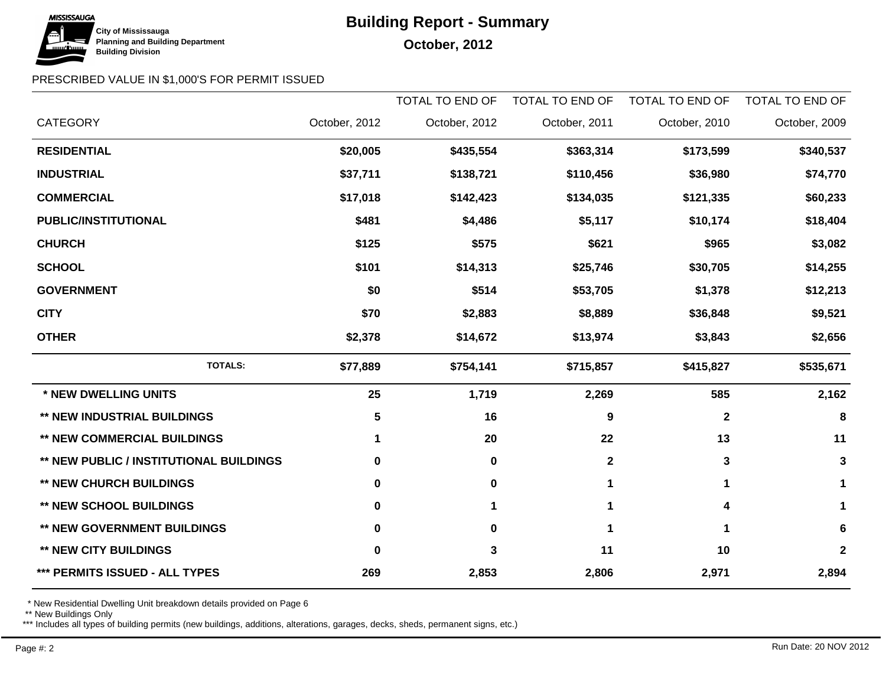

# **Building Report - Summary**

### PRESCRIBED VALUE IN \$1,000'S FOR PERMIT ISSUED

|                                                |               | <b>TOTAL TO END OF</b> | TOTAL TO END OF | <b>TOTAL TO END OF</b> | <b>TOTAL TO END OF</b> |
|------------------------------------------------|---------------|------------------------|-----------------|------------------------|------------------------|
| <b>CATEGORY</b>                                | October, 2012 | October, 2012          | October, 2011   | October, 2010          | October, 2009          |
| <b>RESIDENTIAL</b>                             | \$20,005      | \$435,554              | \$363,314       | \$173,599              | \$340,537              |
| <b>INDUSTRIAL</b>                              | \$37,711      | \$138,721              | \$110,456       | \$36,980               | \$74,770               |
| <b>COMMERCIAL</b>                              | \$17,018      | \$142,423              | \$134,035       | \$121,335              | \$60,233               |
| <b>PUBLIC/INSTITUTIONAL</b>                    | \$481         | \$4,486                | \$5,117         | \$10,174               | \$18,404               |
| <b>CHURCH</b>                                  | \$125         | \$575                  | \$621           | \$965                  | \$3,082                |
| <b>SCHOOL</b>                                  | \$101         | \$14,313               | \$25,746        | \$30,705               | \$14,255               |
| <b>GOVERNMENT</b>                              | \$0           | \$514                  | \$53,705        | \$1,378                | \$12,213               |
| <b>CITY</b>                                    | \$70          | \$2,883                | \$8,889         | \$36,848               | \$9,521                |
| <b>OTHER</b>                                   | \$2,378       | \$14,672               | \$13,974        | \$3,843                | \$2,656                |
| <b>TOTALS:</b>                                 | \$77,889      | \$754,141              | \$715,857       | \$415,827              | \$535,671              |
| * NEW DWELLING UNITS                           | 25            | 1,719                  | 2,269           | 585                    | 2,162                  |
| ** NEW INDUSTRIAL BUILDINGS                    | 5             | 16                     | 9               | $\mathbf{2}$           | 8                      |
| <b>** NEW COMMERCIAL BUILDINGS</b>             | 1             | 20                     | 22              | 13                     | 11                     |
| <b>** NEW PUBLIC / INSTITUTIONAL BUILDINGS</b> | 0             | $\mathbf 0$            | $\mathbf 2$     | 3                      | 3                      |
| <b>** NEW CHURCH BUILDINGS</b>                 | 0             | $\mathbf 0$            |                 | 1                      | 1                      |
| <b>** NEW SCHOOL BUILDINGS</b>                 | 0             | 1                      | 1               | 4                      | 1                      |
| ** NEW GOVERNMENT BUILDINGS                    | 0             | $\mathbf 0$            | 1               | 1                      | 6                      |
| <b>** NEW CITY BUILDINGS</b>                   | 0             | 3                      | 11              | 10                     | $\mathbf 2$            |
| *** PERMITS ISSUED - ALL TYPES                 | 269           | 2,853                  | 2,806           | 2,971                  | 2,894                  |

\* New Residential Dwelling Unit breakdown details provided on Page 6

\*\* New Buildings Only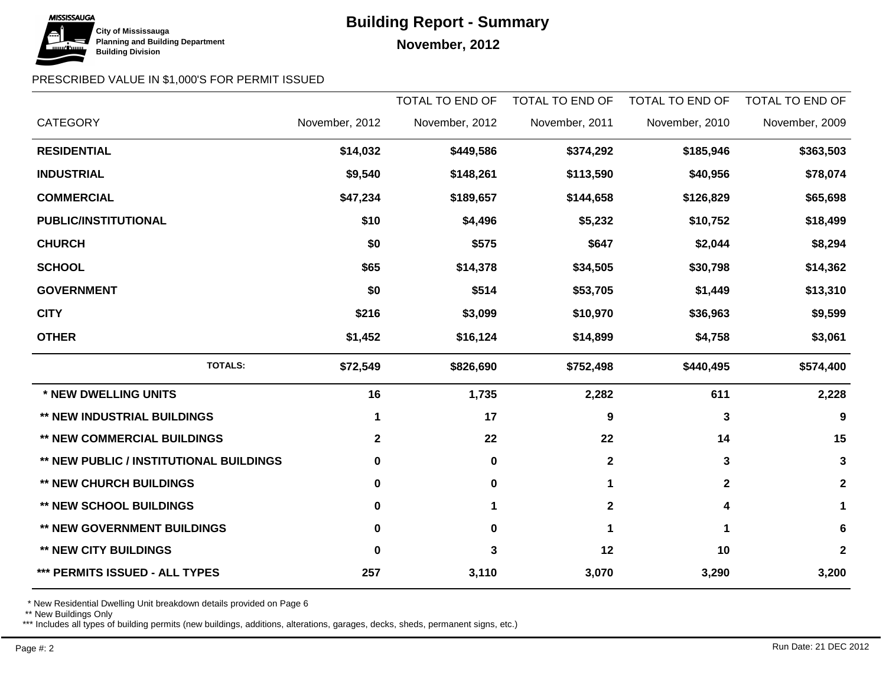# **MISSISSAUGA City of Mississauga Building Division**

# **Building Report - Summary**

**November, 2012** 

## PRESCRIBED VALUE IN \$1,000'S FOR PERMIT ISSUED

|                                                |                | <b>TOTAL TO END OF</b> | TOTAL TO END OF | TOTAL TO END OF | <b>TOTAL TO END OF</b> |
|------------------------------------------------|----------------|------------------------|-----------------|-----------------|------------------------|
| <b>CATEGORY</b>                                | November, 2012 | November, 2012         | November, 2011  | November, 2010  | November, 2009         |
| <b>RESIDENTIAL</b>                             | \$14,032       | \$449,586              | \$374,292       | \$185,946       | \$363,503              |
| <b>INDUSTRIAL</b>                              | \$9,540        | \$148,261              | \$113,590       | \$40,956        | \$78,074               |
| <b>COMMERCIAL</b>                              | \$47,234       | \$189,657              | \$144,658       | \$126,829       | \$65,698               |
| <b>PUBLIC/INSTITUTIONAL</b>                    | \$10           | \$4,496                | \$5,232         | \$10,752        | \$18,499               |
| <b>CHURCH</b>                                  | \$0            | \$575                  | \$647           | \$2,044         | \$8,294                |
| <b>SCHOOL</b>                                  | \$65           | \$14,378               | \$34,505        | \$30,798        | \$14,362               |
| <b>GOVERNMENT</b>                              | \$0            | \$514                  | \$53,705        | \$1,449         | \$13,310               |
| <b>CITY</b>                                    | \$216          | \$3,099                | \$10,970        | \$36,963        | \$9,599                |
| <b>OTHER</b>                                   | \$1,452        | \$16,124               | \$14,899        | \$4,758         | \$3,061                |
| <b>TOTALS:</b>                                 | \$72,549       | \$826,690              | \$752,498       | \$440,495       | \$574,400              |
| * NEW DWELLING UNITS                           | 16             | 1,735                  | 2,282           | 611             | 2,228                  |
| <b>** NEW INDUSTRIAL BUILDINGS</b>             | 1              | 17                     | 9               | 3               | 9                      |
| <b>** NEW COMMERCIAL BUILDINGS</b>             | $\mathbf{2}$   | 22                     | 22              | 14              | 15                     |
| <b>** NEW PUBLIC / INSTITUTIONAL BUILDINGS</b> | 0              | $\mathbf 0$            | $\mathbf{2}$    | 3               | 3                      |
| <b>** NEW CHURCH BUILDINGS</b>                 | 0              | $\mathbf 0$            | 1               | $\mathbf{2}$    | $\mathbf{2}$           |
| <b>** NEW SCHOOL BUILDINGS</b>                 | 0              | 1                      | $\mathbf{2}$    | 4               | 1                      |
| ** NEW GOVERNMENT BUILDINGS                    | 0              | $\mathbf 0$            | 1               | 1               | 6                      |
| <b>** NEW CITY BUILDINGS</b>                   | 0              | 3                      | 12              | 10              | $\mathbf{2}$           |
| *** PERMITS ISSUED - ALL TYPES                 | 257            | 3,110                  | 3,070           | 3,290           | 3,200                  |

\* New Residential Dwelling Unit breakdown details provided on Page 6

\*\* New Buildings Only